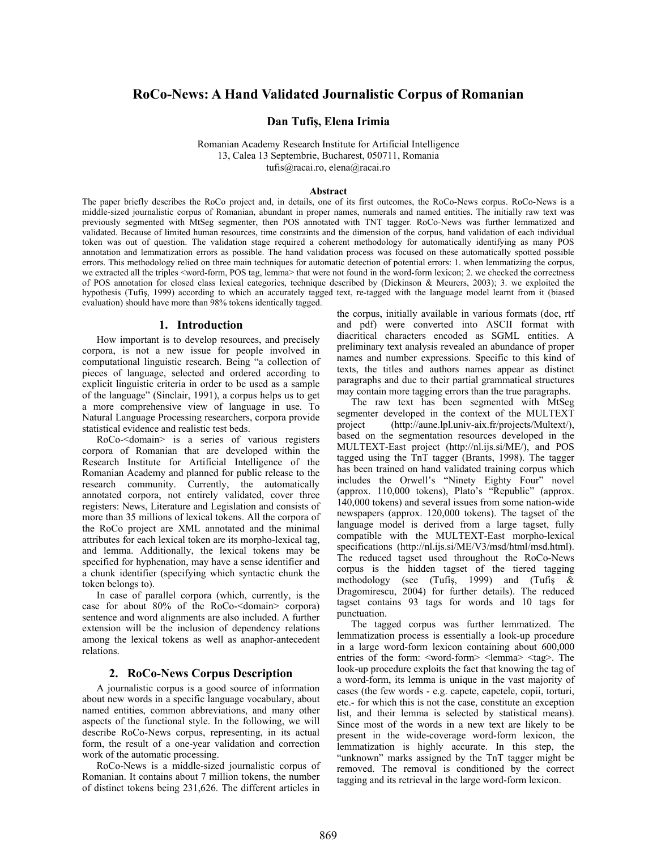# **RoCo-News: A Hand Validated Journalistic Corpus of Romanian**

#### **Dan Tufiş, Elena Irimia**

Romanian Academy Research Institute for Artificial Intelligence 13, Calea 13 Septembrie, Bucharest, 050711, Romania tufis@racai.ro, elena@racai.ro

#### **Abstract**

The paper briefly describes the RoCo project and, in details, one of its first outcomes, the RoCo-News corpus. RoCo-News is a middle-sized journalistic corpus of Romanian, abundant in proper names, numerals and named entities. The initially raw text was previously segmented with MtSeg segmenter, then POS annotated with TNT tagger. RoCo-News was further lemmatized and validated. Because of limited human resources, time constraints and the dimension of the corpus, hand validation of each individual token was out of question. The validation stage required a coherent methodology for automatically identifying as many POS annotation and lemmatization errors as possible. The hand validation process was focused on these automatically spotted possible errors. This methodology relied on three main techniques for automatic detection of potential errors: 1. when lemmatizing the corpus, we extracted all the triples <word-form, POS tag, lemma> that were not found in the word-form lexicon; 2. we checked the correctness of POS annotation for closed class lexical categories, technique described by (Dickinson & Meurers, 2003); 3. we exploited the hypothesis (Tufiş, 1999) according to which an accurately tagged text, re-tagged with the language model learnt from it (biased evaluation) should have more than 98% tokens identically tagged.

#### **1. Introduction**

How important is to develop resources, and precisely corpora, is not a new issue for people involved in computational linguistic research. Being "a collection of pieces of language, selected and ordered according to explicit linguistic criteria in order to be used as a sample of the language" (Sinclair, 1991), a corpus helps us to get a more comprehensive view of language in use. To Natural Language Processing researchers, corpora provide statistical evidence and realistic test beds.

RoCo-<domain> is a series of various registers corpora of Romanian that are developed within the Research Institute for Artificial Intelligence of the Romanian Academy and planned for public release to the research community. Currently, the automatically annotated corpora, not entirely validated, cover three registers: News, Literature and Legislation and consists of more than 35 millions of lexical tokens. All the corpora of the RoCo project are XML annotated and the minimal attributes for each lexical token are its morpho-lexical tag, and lemma. Additionally, the lexical tokens may be specified for hyphenation, may have a sense identifier and a chunk identifier (specifying which syntactic chunk the token belongs to).

In case of parallel corpora (which, currently, is the case for about 80% of the RoCo-<domain> corpora) sentence and word alignments are also included. A further extension will be the inclusion of dependency relations among the lexical tokens as well as anaphor-antecedent relations.

#### **2. RoCo-News Corpus Description**

A journalistic corpus is a good source of information about new words in a specific language vocabulary, about named entities, common abbreviations, and many other aspects of the functional style. In the following, we will describe RoCo-News corpus, representing, in its actual form, the result of a one-year validation and correction work of the automatic processing.

RoCo-News is a middle-sized journalistic corpus of Romanian. It contains about 7 million tokens, the number of distinct tokens being 231,626. The different articles in

the corpus, initially available in various formats (doc, rtf and pdf) were converted into ASCII format with diacritical characters encoded as SGML entities. A preliminary text analysis revealed an abundance of proper names and number expressions. Specific to this kind of texts, the titles and authors names appear as distinct paragraphs and due to their partial grammatical structures may contain more tagging errors than the true paragraphs.

The raw text has been segmented with MtSeg segmenter developed in the context of the MULTEXT project (http://aune.lpl.univ-aix.fr/projects/Multext/), based on the segmentation resources developed in the MULTEXT-East project (http://nl.ijs.si/ME/), and POS tagged using the TnT tagger (Brants, 1998). The tagger has been trained on hand validated training corpus which includes the Orwell's "Ninety Eighty Four" novel (approx. 110,000 tokens), Plato's "Republic" (approx. 140,000 tokens) and several issues from some nation-wide newspapers (approx. 120,000 tokens). The tagset of the language model is derived from a large tagset, fully compatible with the MULTEXT-East morpho-lexical specifications (http://nl.ijs.si/ME/V3/msd/html/msd.html). The reduced tagset used throughout the RoCo-News corpus is the hidden tagset of the tiered tagging methodology (see (Tufiş, 1999) and (Tufiş & Dragomirescu, 2004) for further details). The reduced tagset contains 93 tags for words and 10 tags for punctuation.

The tagged corpus was further lemmatized. The lemmatization process is essentially a look-up procedure in a large word-form lexicon containing about 600,000 entries of the form: <word-form> <lemma> <tag>. The look-up procedure exploits the fact that knowing the tag of a word-form, its lemma is unique in the vast majority of cases (the few words - e.g. capete, capetele, copii, torturi, etc.- for which this is not the case, constitute an exception list, and their lemma is selected by statistical means). Since most of the words in a new text are likely to be present in the wide-coverage word-form lexicon, the lemmatization is highly accurate. In this step, the "unknown" marks assigned by the TnT tagger might be removed. The removal is conditioned by the correct tagging and its retrieval in the large word-form lexicon.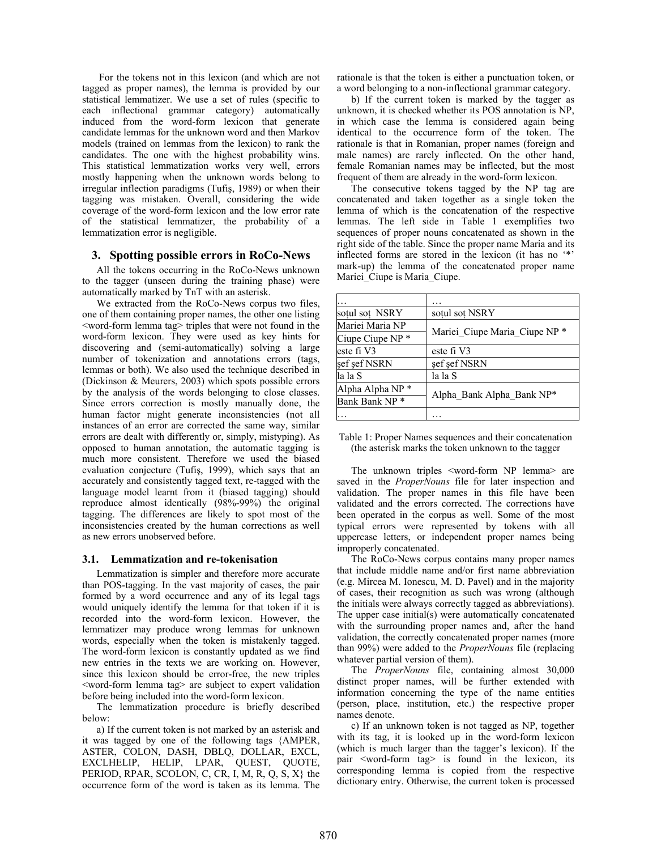For the tokens not in this lexicon (and which are not tagged as proper names), the lemma is provided by our statistical lemmatizer. We use a set of rules (specific to each inflectional grammar category) automatically induced from the word-form lexicon that generate candidate lemmas for the unknown word and then Markov models (trained on lemmas from the lexicon) to rank the candidates. The one with the highest probability wins. This statistical lemmatization works very well, errors mostly happening when the unknown words belong to irregular inflection paradigms (Tufiş, 1989) or when their tagging was mistaken. Overall, considering the wide coverage of the word-form lexicon and the low error rate of the statistical lemmatizer, the probability of a lemmatization error is negligible.

### **3. Spotting possible errors in RoCo-News**

All the tokens occurring in the RoCo-News unknown to the tagger (unseen during the training phase) were automatically marked by TnT with an asterisk.

We extracted from the RoCo-News corpus two files, one of them containing proper names, the other one listing <word-form lemma tag> triples that were not found in the word-form lexicon. They were used as key hints for discovering and (semi-automatically) solving a large number of tokenization and annotations errors (tags, lemmas or both). We also used the technique described in (Dickinson & Meurers, 2003) which spots possible errors by the analysis of the words belonging to close classes. Since errors correction is mostly manually done, the human factor might generate inconsistencies (not all instances of an error are corrected the same way, similar errors are dealt with differently or, simply, mistyping). As opposed to human annotation, the automatic tagging is much more consistent. Therefore we used the biased evaluation conjecture (Tufiş, 1999), which says that an accurately and consistently tagged text, re-tagged with the language model learnt from it (biased tagging) should reproduce almost identically (98%-99%) the original tagging. The differences are likely to spot most of the inconsistencies created by the human corrections as well as new errors unobserved before.

#### **3.1. Lemmatization and re-tokenisation**

Lemmatization is simpler and therefore more accurate than POS-tagging. In the vast majority of cases, the pair formed by a word occurrence and any of its legal tags would uniquely identify the lemma for that token if it is recorded into the word-form lexicon. However, the lemmatizer may produce wrong lemmas for unknown words, especially when the token is mistakenly tagged. The word-form lexicon is constantly updated as we find new entries in the texts we are working on. However, since this lexicon should be error-free, the new triples <word-form lemma tag> are subject to expert validation before being included into the word-form lexicon.

The lemmatization procedure is briefly described below:

a) If the current token is not marked by an asterisk and it was tagged by one of the following tags {AMPER, ASTER, COLON, DASH, DBLQ, DOLLAR, EXCL, EXCLHELIP, HELIP, LPAR, QUEST, QUOTE, PERIOD, RPAR, SCOLON, C, CR, I, M, R, Q, S, X} the occurrence form of the word is taken as its lemma. The

rationale is that the token is either a punctuation token, or a word belonging to a non-inflectional grammar category.

b) If the current token is marked by the tagger as unknown, it is checked whether its POS annotation is NP, in which case the lemma is considered again being identical to the occurrence form of the token. The rationale is that in Romanian, proper names (foreign and male names) are rarely inflected. On the other hand, female Romanian names may be inflected, but the most frequent of them are already in the word-form lexicon.

The consecutive tokens tagged by the NP tag are concatenated and taken together as a single token the lemma of which is the concatenation of the respective lemmas. The left side in Table 1 exemplifies two sequences of proper nouns concatenated as shown in the right side of the table. Since the proper name Maria and its inflected forms are stored in the lexicon (it has no '\*' mark-up) the lemma of the concatenated proper name Mariei Ciupe is Maria Ciupe.

| sotul sot NSRY              | sotul sot NSRY                |
|-----------------------------|-------------------------------|
| Mariei Maria NP             | Mariei_Ciupe Maria Ciupe NP * |
| Ciupe Ciupe NP <sup>*</sup> |                               |
| este fi V3                  | este fi V3                    |
| şef şef NSRN                | şef şef NSRN                  |
| la la S                     | la la S                       |
| Alpha Alpha NP <sup>*</sup> | Alpha Bank Alpha Bank NP*     |
| Bank Bank NP <sup>*</sup>   |                               |
|                             |                               |

| Table 1: Proper Names sequences and their concatenation |  |
|---------------------------------------------------------|--|
| (the asterisk marks the token unknown to the tagger)    |  |

The unknown triples <word-form NP lemma> are saved in the *ProperNouns* file for later inspection and validation. The proper names in this file have been validated and the errors corrected. The corrections have been operated in the corpus as well. Some of the most typical errors were represented by tokens with all uppercase letters, or independent proper names being improperly concatenated.

The RoCo-News corpus contains many proper names that include middle name and/or first name abbreviation (e.g. Mircea M. Ionescu, M. D. Pavel) and in the majority of cases, their recognition as such was wrong (although the initials were always correctly tagged as abbreviations). The upper case initial(s) were automatically concatenated with the surrounding proper names and, after the hand validation, the correctly concatenated proper names (more than 99%) were added to the *ProperNouns* file (replacing whatever partial version of them).

The *ProperNouns* file, containing almost 30,000 distinct proper names, will be further extended with information concerning the type of the name entities (person, place, institution, etc.) the respective proper names denote.

c) If an unknown token is not tagged as NP, together with its tag, it is looked up in the word-form lexicon (which is much larger than the tagger's lexicon). If the pair <word-form tag> is found in the lexicon, its corresponding lemma is copied from the respective dictionary entry. Otherwise, the current token is processed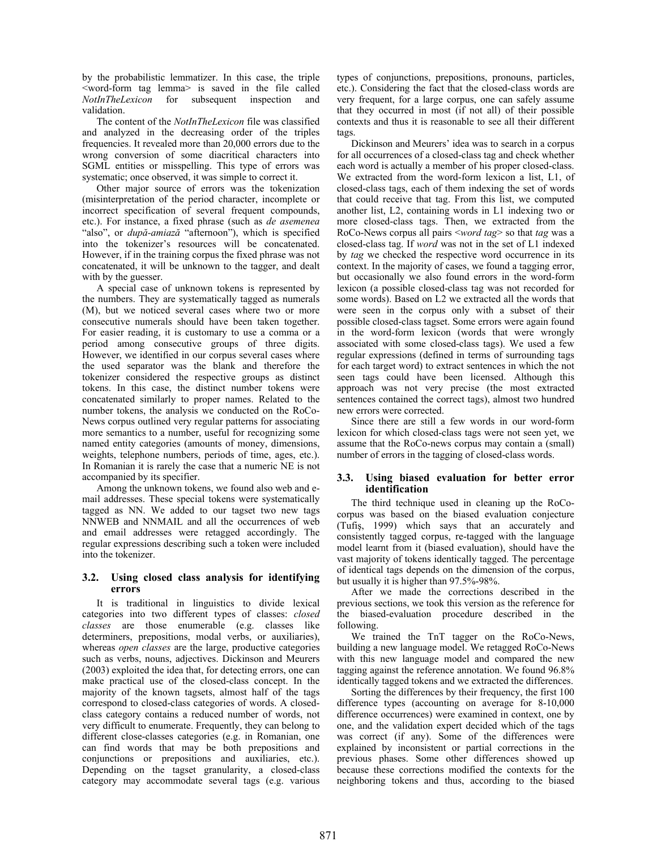by the probabilistic lemmatizer. In this case, the triple <word-form tag lemma> is saved in the file called *NotInTheLexicon* for subsequent inspection and validation.

The content of the *NotInTheLexicon* file was classified and analyzed in the decreasing order of the triples frequencies. It revealed more than 20,000 errors due to the wrong conversion of some diacritical characters into SGML entities or misspelling. This type of errors was systematic; once observed, it was simple to correct it.

Other major source of errors was the tokenization (misinterpretation of the period character, incomplete or incorrect specification of several frequent compounds, etc.). For instance, a fixed phrase (such as *de asemenea* "also", or *după-amiază* "afternoon"), which is specified into the tokenizer's resources will be concatenated. However, if in the training corpus the fixed phrase was not concatenated, it will be unknown to the tagger, and dealt with by the guesser.

A special case of unknown tokens is represented by the numbers. They are systematically tagged as numerals (M), but we noticed several cases where two or more consecutive numerals should have been taken together. For easier reading, it is customary to use a comma or a period among consecutive groups of three digits. However, we identified in our corpus several cases where the used separator was the blank and therefore the tokenizer considered the respective groups as distinct tokens. In this case, the distinct number tokens were concatenated similarly to proper names. Related to the number tokens, the analysis we conducted on the RoCo-News corpus outlined very regular patterns for associating more semantics to a number, useful for recognizing some named entity categories (amounts of money, dimensions, weights, telephone numbers, periods of time, ages, etc.). In Romanian it is rarely the case that a numeric NE is not accompanied by its specifier.

Among the unknown tokens, we found also web and email addresses. These special tokens were systematically tagged as NN. We added to our tagset two new tags NNWEB and NNMAIL and all the occurrences of web and email addresses were retagged accordingly. The regular expressions describing such a token were included into the tokenizer.

# **3.2. Using closed class analysis for identifying errors**

It is traditional in linguistics to divide lexical categories into two different types of classes: *closed classes* are those enumerable (e.g. classes like determiners, prepositions, modal verbs, or auxiliaries), whereas *open classes* are the large, productive categories such as verbs, nouns, adjectives. Dickinson and Meurers (2003) exploited the idea that, for detecting errors, one can make practical use of the closed-class concept. In the majority of the known tagsets, almost half of the tags correspond to closed-class categories of words. A closedclass category contains a reduced number of words, not very difficult to enumerate. Frequently, they can belong to different close-classes categories (e.g. in Romanian, one can find words that may be both prepositions and conjunctions or prepositions and auxiliaries, etc.). Depending on the tagset granularity, a closed-class category may accommodate several tags (e.g. various

types of conjunctions, prepositions, pronouns, particles, etc.). Considering the fact that the closed-class words are very frequent, for a large corpus, one can safely assume that they occurred in most (if not all) of their possible contexts and thus it is reasonable to see all their different tags.

Dickinson and Meurers' idea was to search in a corpus for all occurrences of a closed-class tag and check whether each word is actually a member of his proper closed-class. We extracted from the word-form lexicon a list, L1, of closed-class tags, each of them indexing the set of words that could receive that tag. From this list, we computed another list, L2, containing words in L1 indexing two or more closed-class tags. Then, we extracted from the RoCo-News corpus all pairs <*word tag*> so that *tag* was a closed-class tag. If *word* was not in the set of L1 indexed by *tag* we checked the respective word occurrence in its context. In the majority of cases, we found a tagging error, but occasionally we also found errors in the word-form lexicon (a possible closed-class tag was not recorded for some words). Based on L2 we extracted all the words that were seen in the corpus only with a subset of their possible closed-class tagset. Some errors were again found in the word-form lexicon (words that were wrongly associated with some closed-class tags). We used a few regular expressions (defined in terms of surrounding tags for each target word) to extract sentences in which the not seen tags could have been licensed. Although this approach was not very precise (the most extracted sentences contained the correct tags), almost two hundred new errors were corrected.

Since there are still a few words in our word-form lexicon for which closed-class tags were not seen yet, we assume that the RoCo-news corpus may contain a (small) number of errors in the tagging of closed-class words.

# **3.3. Using biased evaluation for better error identification**

The third technique used in cleaning up the RoCocorpus was based on the biased evaluation conjecture (Tufiş, 1999) which says that an accurately and consistently tagged corpus, re-tagged with the language model learnt from it (biased evaluation), should have the vast majority of tokens identically tagged. The percentage of identical tags depends on the dimension of the corpus, but usually it is higher than 97.5%-98%.

After we made the corrections described in the previous sections, we took this version as the reference for the biased-evaluation procedure described in the following.

We trained the TnT tagger on the RoCo-News, building a new language model. We retagged RoCo-News with this new language model and compared the new tagging against the reference annotation. We found 96.8% identically tagged tokens and we extracted the differences.

Sorting the differences by their frequency, the first 100 difference types (accounting on average for 8-10,000 difference occurrences) were examined in context, one by one, and the validation expert decided which of the tags was correct (if any). Some of the differences were explained by inconsistent or partial corrections in the previous phases. Some other differences showed up because these corrections modified the contexts for the neighboring tokens and thus, according to the biased